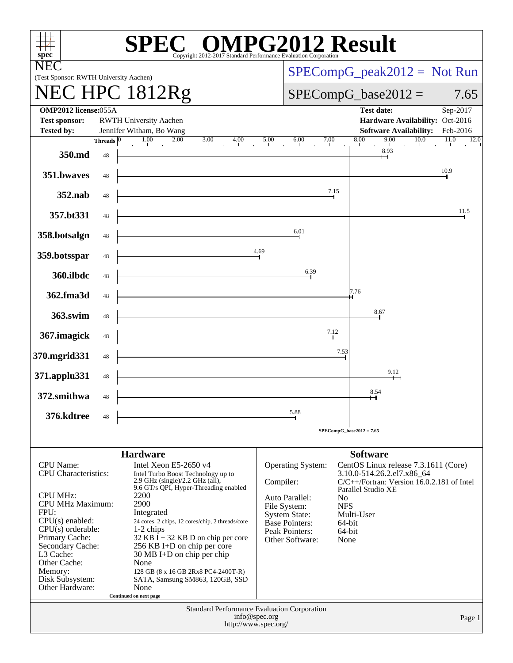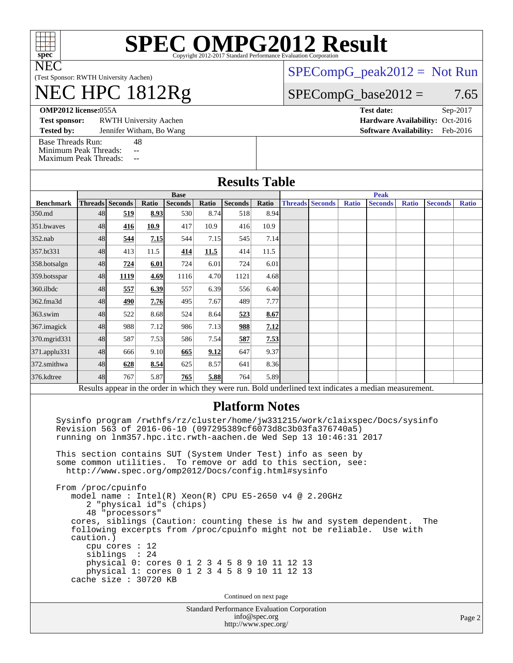

# **[SPEC OMPG2012 Result](http://www.spec.org/auto/omp2012/Docs/result-fields.html#SPECOMPG2012Result)**

(Test Sponsor: RWTH University Aachen)

## NEC HPC 1812Rg

[SPECompG\\_peak2012 =](http://www.spec.org/auto/omp2012/Docs/result-fields.html#SPECompGpeak2012) Not Run

#### $SPECompG_base2012 = 7.65$  $SPECompG_base2012 = 7.65$

**[OMP2012 license:](http://www.spec.org/auto/omp2012/Docs/result-fields.html#OMP2012license)**055A **[Test date:](http://www.spec.org/auto/omp2012/Docs/result-fields.html#Testdate)** Sep-2017

**[Test sponsor:](http://www.spec.org/auto/omp2012/Docs/result-fields.html#Testsponsor)** RWTH University Aachen **[Hardware Availability:](http://www.spec.org/auto/omp2012/Docs/result-fields.html#HardwareAvailability)** Oct-2016

**[Tested by:](http://www.spec.org/auto/omp2012/Docs/result-fields.html#Testedby)** Jennifer Witham, Bo Wang **[Software Availability:](http://www.spec.org/auto/omp2012/Docs/result-fields.html#SoftwareAvailability)** Feb-2016

[Base Threads Run:](http://www.spec.org/auto/omp2012/Docs/result-fields.html#BaseThreadsRun) 48

[Minimum Peak Threads:](http://www.spec.org/auto/omp2012/Docs/result-fields.html#MinimumPeakThreads) -- [Maximum Peak Threads:](http://www.spec.org/auto/omp2012/Docs/result-fields.html#MaximumPeakThreads) --

| махничи реак тигеачу. |                                                           |                                |       |                                                                                                                                                                                                                                                                                                                                                    |       |                                                                       |               |  |                        |              |                                                                                                                                                                                                                               |              |                |              |
|-----------------------|-----------------------------------------------------------|--------------------------------|-------|----------------------------------------------------------------------------------------------------------------------------------------------------------------------------------------------------------------------------------------------------------------------------------------------------------------------------------------------------|-------|-----------------------------------------------------------------------|---------------|--|------------------------|--------------|-------------------------------------------------------------------------------------------------------------------------------------------------------------------------------------------------------------------------------|--------------|----------------|--------------|
|                       |                                                           |                                |       |                                                                                                                                                                                                                                                                                                                                                    |       | <b>Results Table</b>                                                  |               |  |                        |              |                                                                                                                                                                                                                               |              |                |              |
|                       |                                                           |                                |       | <b>Base</b>                                                                                                                                                                                                                                                                                                                                        |       |                                                                       |               |  | <b>Peak</b>            |              |                                                                                                                                                                                                                               |              |                |              |
| <b>Benchmark</b>      |                                                           | <b>Threads</b> Seconds         | Ratio | Seconds                                                                                                                                                                                                                                                                                                                                            | Ratio | Seconds                                                               | Ratio         |  | <b>Threads Seconds</b> | <b>Ratio</b> | <b>Seconds</b>                                                                                                                                                                                                                | <b>Ratio</b> | <b>Seconds</b> | <b>Ratio</b> |
| 350.md                | 48                                                        | 519                            | 8.93  | 530                                                                                                                                                                                                                                                                                                                                                | 8.74  | 518                                                                   | 8.94          |  |                        |              |                                                                                                                                                                                                                               |              |                |              |
| 351.bwaves            | 48                                                        | 416                            | 10.9  | 417                                                                                                                                                                                                                                                                                                                                                | 10.9  | 416                                                                   | 10.9          |  |                        |              |                                                                                                                                                                                                                               |              |                |              |
| 352.nab               | 48                                                        | 544                            | 7.15  | 544                                                                                                                                                                                                                                                                                                                                                | 7.15  | 545                                                                   | 7.14          |  |                        |              |                                                                                                                                                                                                                               |              |                |              |
| 357.bt331             | 48                                                        | 413                            | 11.5  | 414                                                                                                                                                                                                                                                                                                                                                | 11.5  | 414                                                                   | 11.5          |  |                        |              |                                                                                                                                                                                                                               |              |                |              |
| 358.botsalgn          | 48                                                        | 724                            | 6.01  | 724                                                                                                                                                                                                                                                                                                                                                | 6.01  | 724                                                                   | 6.01          |  |                        |              |                                                                                                                                                                                                                               |              |                |              |
| 359.botsspar          | 48                                                        | 1119                           | 4.69  | 1116                                                                                                                                                                                                                                                                                                                                               | 4.70  | 1121                                                                  | 4.68          |  |                        |              |                                                                                                                                                                                                                               |              |                |              |
| 360.ilbdc             | 48                                                        | 557                            | 6.39  | 557                                                                                                                                                                                                                                                                                                                                                | 6.39  | 556                                                                   | 6.40          |  |                        |              |                                                                                                                                                                                                                               |              |                |              |
| 362.fma3d             | 48                                                        | 490                            | 7.76  | 495                                                                                                                                                                                                                                                                                                                                                | 7.67  | 489                                                                   | 7.77          |  |                        |              |                                                                                                                                                                                                                               |              |                |              |
| $363$ .swim           | 48                                                        | 522                            | 8.68  | 524                                                                                                                                                                                                                                                                                                                                                | 8.64  | 523                                                                   | 8.67          |  |                        |              |                                                                                                                                                                                                                               |              |                |              |
| 367. imagick          | 48                                                        | 988                            | 7.12  | 986                                                                                                                                                                                                                                                                                                                                                | 7.13  | 988                                                                   | 7.12          |  |                        |              |                                                                                                                                                                                                                               |              |                |              |
| 370.mgrid331          | 48                                                        | 587                            | 7.53  | 586                                                                                                                                                                                                                                                                                                                                                | 7.54  | 587                                                                   | 7.53          |  |                        |              |                                                                                                                                                                                                                               |              |                |              |
| 371.applu331          | 48                                                        | 666                            | 9.10  | 665                                                                                                                                                                                                                                                                                                                                                | 9.12  | 647                                                                   | 9.37          |  |                        |              |                                                                                                                                                                                                                               |              |                |              |
| 372.smithwa           | 48                                                        | 628                            | 8.54  | 625                                                                                                                                                                                                                                                                                                                                                | 8.57  | 641                                                                   | 8.36          |  |                        |              |                                                                                                                                                                                                                               |              |                |              |
| 376.kdtree            | 48                                                        | 767                            | 5.87  | 765                                                                                                                                                                                                                                                                                                                                                | 5.88  | 764                                                                   | 5.89          |  |                        |              |                                                                                                                                                                                                                               |              |                |              |
|                       |                                                           |                                |       |                                                                                                                                                                                                                                                                                                                                                    |       |                                                                       |               |  |                        |              | Results appear in the order in which they were run. Bold underlined text indicates a median measurement.                                                                                                                      |              |                |              |
|                       | some common utilities.<br>From /proc/cpuinfo<br>caution.) | 48 "processors"                |       | Revision 563 of 2016-06-10 (097295389cf6073d8c3b03fa376740a5)<br>running on lnm357.hpc.itc.rwth-aachen.de Wed Sep 13 10:46:31 2017<br>This section contains SUT (System Under Test) info as seen by<br>http://www.spec.org/omp2012/Docs/config.html#sysinfo<br>model name: $Intel(R)$ Xeon(R) CPU E5-2650 v4 @ 2.20GHz<br>2 "physical id"s (chips) |       | <b>Platform Notes</b><br>To remove or add to this section, see:       |               |  |                        |              | Sysinfo program /rwthfs/rz/cluster/home/jw331215/work/claixspec/Docs/sysinfo<br>cores, siblings (Caution: counting these is hw and system dependent.<br>following excerpts from /proc/cpuinfo might not be reliable. Use with |              | The            |              |
|                       | cache size : 30720 KB                                     | $cpu$ cores : 12<br>siblings : | 24    | physical 0: cores 0 1 2 3 4 5 8 9 10 11 12 13<br>physical 1: cores 0 1 2 3 4 5 8 9 10 11 12 13                                                                                                                                                                                                                                                     |       | Continued on next page<br>Standard Performance Evaluation Corporation |               |  |                        |              |                                                                                                                                                                                                                               |              |                |              |
|                       |                                                           |                                |       |                                                                                                                                                                                                                                                                                                                                                    |       | http://www.spec.org/                                                  | info@spec.org |  |                        |              |                                                                                                                                                                                                                               |              |                | Page 2       |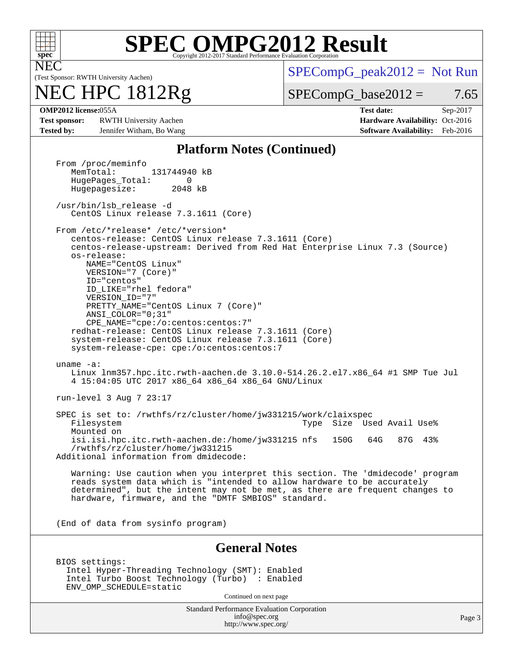

NEC

# **[SPEC OMPG2012 Result](http://www.spec.org/auto/omp2012/Docs/result-fields.html#SPECOMPG2012Result)**

(Test Sponsor: RWTH University Aachen)

## NEC HPC 1812Rg

 $SPECompG_peak2012 = Not Run$  $SPECompG_peak2012 = Not Run$ 

 $SPECompG_base2012 = 7.65$  $SPECompG_base2012 = 7.65$ 

**[Test sponsor:](http://www.spec.org/auto/omp2012/Docs/result-fields.html#Testsponsor)** RWTH University Aachen **[Hardware Availability:](http://www.spec.org/auto/omp2012/Docs/result-fields.html#HardwareAvailability)** Oct-2016 **[Tested by:](http://www.spec.org/auto/omp2012/Docs/result-fields.html#Testedby)** Jennifer Witham, Bo Wang **[Software Availability:](http://www.spec.org/auto/omp2012/Docs/result-fields.html#SoftwareAvailability)** Feb-2016

**[OMP2012 license:](http://www.spec.org/auto/omp2012/Docs/result-fields.html#OMP2012license)**055A **[Test date:](http://www.spec.org/auto/omp2012/Docs/result-fields.html#Testdate)** Sep-2017

#### **[Platform Notes \(Continued\)](http://www.spec.org/auto/omp2012/Docs/result-fields.html#PlatformNotes)**

Standard Performance Evaluation Corporation [info@spec.org](mailto:info@spec.org) <http://www.spec.org/> Page 3 From /proc/meminfo<br>MemTotal: 131744940 kB HugePages\_Total: 0<br>Hugepagesize: 2048 kB Hugepagesize: /usr/bin/lsb\_release -d CentOS Linux release 7.3.1611 (Core) From /etc/\*release\* /etc/\*version\* centos-release: CentOS Linux release 7.3.1611 (Core) centos-release-upstream: Derived from Red Hat Enterprise Linux 7.3 (Source) os-release: NAME="CentOS Linux" VERSION="7 (Core)" ID="centos" ID\_LIKE="rhel fedora" VERSION\_ID="7" PRETTY\_NAME="CentOS Linux 7 (Core)" ANSI\_COLOR="0;31" CPE\_NAME="cpe:/o:centos:centos:7" redhat-release: CentOS Linux release 7.3.1611 (Core) system-release: CentOS Linux release 7.3.1611 (Core) system-release-cpe: cpe:/o:centos:centos:7 uname -a: Linux lnm357.hpc.itc.rwth-aachen.de 3.10.0-514.26.2.el7.x86\_64 #1 SMP Tue Jul 4 15:04:05 UTC 2017 x86\_64 x86\_64 x86\_64 GNU/Linux run-level 3 Aug 7 23:17 SPEC is set to: /rwthfs/rz/cluster/home/jw331215/work/claixspec<br>Filesystem 1998 Type Size Used Avail Use% Mounted on isi.isi.hpc.itc.rwth-aachen.de:/home/jw331215 nfs 150G 64G 87G 43% /rwthfs/rz/cluster/home/jw331215 Additional information from dmidecode: Warning: Use caution when you interpret this section. The 'dmidecode' program reads system data which is "intended to allow hardware to be accurately determined", but the intent may not be met, as there are frequent changes to hardware, firmware, and the "DMTF SMBIOS" standard. (End of data from sysinfo program) **[General Notes](http://www.spec.org/auto/omp2012/Docs/result-fields.html#GeneralNotes)** BIOS settings: Intel Hyper-Threading Technology (SMT): Enabled Intel Turbo Boost Technology (Turbo) : Enabled ENV\_OMP\_SCHEDULE=static Continued on next page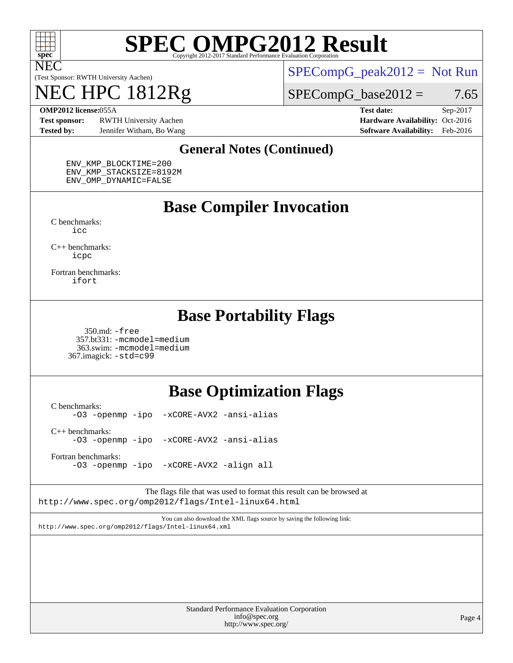

NEC

# **[SPEC OMPG2012 Result](http://www.spec.org/auto/omp2012/Docs/result-fields.html#SPECOMPG2012Result)**

(Test Sponsor: RWTH University Aachen)

## NEC HPC 1812Rg

 $SPECompG_peak2012 = Not Run$  $SPECompG_peak2012 = Not Run$ 

 $SPECompG_base2012 = 7.65$  $SPECompG_base2012 = 7.65$ 

**[Test sponsor:](http://www.spec.org/auto/omp2012/Docs/result-fields.html#Testsponsor)** RWTH University Aachen **[Hardware Availability:](http://www.spec.org/auto/omp2012/Docs/result-fields.html#HardwareAvailability)** Oct-2016 **[Tested by:](http://www.spec.org/auto/omp2012/Docs/result-fields.html#Testedby)** Jennifer Witham, Bo Wang **[Software Availability:](http://www.spec.org/auto/omp2012/Docs/result-fields.html#SoftwareAvailability)** Feb-2016

**[OMP2012 license:](http://www.spec.org/auto/omp2012/Docs/result-fields.html#OMP2012license)**055A **[Test date:](http://www.spec.org/auto/omp2012/Docs/result-fields.html#Testdate)** Sep-2017

#### **[General Notes \(Continued\)](http://www.spec.org/auto/omp2012/Docs/result-fields.html#GeneralNotes)**

 ENV\_KMP\_BLOCKTIME=200 ENV\_KMP\_STACKSIZE=8192M ENV\_OMP\_DYNAMIC=FALSE

### **[Base Compiler Invocation](http://www.spec.org/auto/omp2012/Docs/result-fields.html#BaseCompilerInvocation)**

[C benchmarks](http://www.spec.org/auto/omp2012/Docs/result-fields.html#Cbenchmarks): [icc](http://www.spec.org/omp2012/results/res2017q4/omp2012-20170927-00124.flags.html#user_CCbase_intel_icc_a87c68a857bc5ec5362391a49d3a37a6)

[C++ benchmarks:](http://www.spec.org/auto/omp2012/Docs/result-fields.html#CXXbenchmarks) [icpc](http://www.spec.org/omp2012/results/res2017q4/omp2012-20170927-00124.flags.html#user_CXXbase_intel_icpc_2d899f8d163502b12eb4a60069f80c1c)

[Fortran benchmarks](http://www.spec.org/auto/omp2012/Docs/result-fields.html#Fortranbenchmarks): [ifort](http://www.spec.org/omp2012/results/res2017q4/omp2012-20170927-00124.flags.html#user_FCbase_intel_ifort_8a5e5e06b19a251bdeaf8fdab5d62f20)

### **[Base Portability Flags](http://www.spec.org/auto/omp2012/Docs/result-fields.html#BasePortabilityFlags)**

 350.md: [-free](http://www.spec.org/omp2012/results/res2017q4/omp2012-20170927-00124.flags.html#user_baseFPORTABILITY350_md_f-FR_e51be0673775d2012b3310fa5323f530) 357.bt331: [-mcmodel=medium](http://www.spec.org/omp2012/results/res2017q4/omp2012-20170927-00124.flags.html#user_baseFPORTABILITY357_bt331_f-mcmodel_3a41622424bdd074c4f0f2d2f224c7e5) 363.swim: [-mcmodel=medium](http://www.spec.org/omp2012/results/res2017q4/omp2012-20170927-00124.flags.html#user_baseFPORTABILITY363_swim_f-mcmodel_3a41622424bdd074c4f0f2d2f224c7e5) 367.imagick: [-std=c99](http://www.spec.org/omp2012/results/res2017q4/omp2012-20170927-00124.flags.html#user_baseCPORTABILITY367_imagick_f-std_2ec6533b6e06f1c4a6c9b78d9e9cde24)

### **[Base Optimization Flags](http://www.spec.org/auto/omp2012/Docs/result-fields.html#BaseOptimizationFlags)**

[C benchmarks](http://www.spec.org/auto/omp2012/Docs/result-fields.html#Cbenchmarks): [-O3](http://www.spec.org/omp2012/results/res2017q4/omp2012-20170927-00124.flags.html#user_CCbase_f-O3) [-openmp](http://www.spec.org/omp2012/results/res2017q4/omp2012-20170927-00124.flags.html#user_CCbase_f-openmp) [-ipo](http://www.spec.org/omp2012/results/res2017q4/omp2012-20170927-00124.flags.html#user_CCbase_f-ipo_84062ab53814f613187d02344b8f49a7) [-xCORE-AVX2](http://www.spec.org/omp2012/results/res2017q4/omp2012-20170927-00124.flags.html#user_CCbase_f-xCORE-AVX2) [-ansi-alias](http://www.spec.org/omp2012/results/res2017q4/omp2012-20170927-00124.flags.html#user_CCbase_f-ansi-alias) [C++ benchmarks:](http://www.spec.org/auto/omp2012/Docs/result-fields.html#CXXbenchmarks) [-O3](http://www.spec.org/omp2012/results/res2017q4/omp2012-20170927-00124.flags.html#user_CXXbase_f-O3) [-openmp](http://www.spec.org/omp2012/results/res2017q4/omp2012-20170927-00124.flags.html#user_CXXbase_f-openmp) [-ipo](http://www.spec.org/omp2012/results/res2017q4/omp2012-20170927-00124.flags.html#user_CXXbase_f-ipo_84062ab53814f613187d02344b8f49a7) [-xCORE-AVX2](http://www.spec.org/omp2012/results/res2017q4/omp2012-20170927-00124.flags.html#user_CXXbase_f-xCORE-AVX2) [-ansi-alias](http://www.spec.org/omp2012/results/res2017q4/omp2012-20170927-00124.flags.html#user_CXXbase_f-ansi-alias) [Fortran benchmarks](http://www.spec.org/auto/omp2012/Docs/result-fields.html#Fortranbenchmarks):

[-O3](http://www.spec.org/omp2012/results/res2017q4/omp2012-20170927-00124.flags.html#user_FCbase_f-O3) [-openmp](http://www.spec.org/omp2012/results/res2017q4/omp2012-20170927-00124.flags.html#user_FCbase_f-openmp) [-ipo](http://www.spec.org/omp2012/results/res2017q4/omp2012-20170927-00124.flags.html#user_FCbase_f-ipo_84062ab53814f613187d02344b8f49a7) [-xCORE-AVX2](http://www.spec.org/omp2012/results/res2017q4/omp2012-20170927-00124.flags.html#user_FCbase_f-xCORE-AVX2) [-align all](http://www.spec.org/omp2012/results/res2017q4/omp2012-20170927-00124.flags.html#user_FCbase_f-align_1ebfa66158b49aff21b037afc4046011)

The flags file that was used to format this result can be browsed at <http://www.spec.org/omp2012/flags/Intel-linux64.html>

You can also download the XML flags source by saving the following link: <http://www.spec.org/omp2012/flags/Intel-linux64.xml>

> Standard Performance Evaluation Corporation [info@spec.org](mailto:info@spec.org) <http://www.spec.org/>